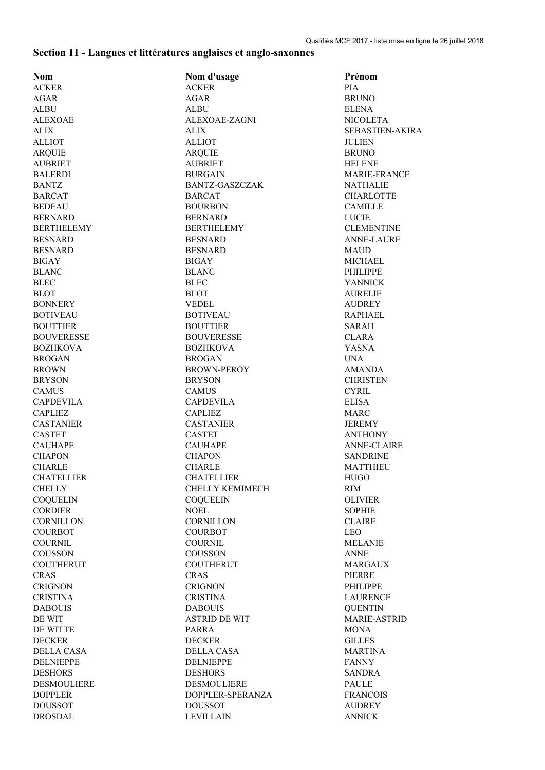## **Section 11 - Langues et littératures anglaises et anglo-saxonnes**

| <b>Nom</b>        | Nom d'usage            | Prénom                         |
|-------------------|------------------------|--------------------------------|
| <b>ACKER</b>      | <b>ACKER</b>           | <b>PIA</b>                     |
| <b>AGAR</b>       | <b>AGAR</b>            | <b>BRUNO</b>                   |
|                   |                        |                                |
| <b>ALBU</b>       | ALBU                   | <b>ELENA</b>                   |
| <b>ALEXOAE</b>    | ALEXOAE-ZAGNI          | <b>NICOLETA</b>                |
| <b>ALIX</b>       | <b>ALIX</b>            | <b>SEBASTIEN-AKIRA</b>         |
| <b>ALLIOT</b>     | <b>ALLIOT</b>          | <b>JULIEN</b>                  |
| <b>ARQUIE</b>     | <b>ARQUIE</b>          | <b>BRUNO</b>                   |
| <b>AUBRIET</b>    | <b>AUBRIET</b>         | <b>HELENE</b>                  |
| <b>BALERDI</b>    | <b>BURGAIN</b>         | <b>MARIE-FRANCE</b>            |
| <b>BANTZ</b>      | <b>BANTZ-GASZCZAK</b>  | <b>NATHALIE</b>                |
| <b>BARCAT</b>     | <b>BARCAT</b>          | <b>CHARLOTTE</b>               |
| <b>BEDEAU</b>     | <b>BOURBON</b>         | <b>CAMILLE</b>                 |
| <b>BERNARD</b>    | <b>BERNARD</b>         | <b>LUCIE</b>                   |
| <b>BERTHELEMY</b> | <b>BERTHELEMY</b>      | <b>CLEMENTINE</b>              |
| <b>BESNARD</b>    | <b>BESNARD</b>         | <b>ANNE-LAURE</b>              |
| <b>BESNARD</b>    | <b>BESNARD</b>         | MAUD                           |
| <b>BIGAY</b>      | <b>BIGAY</b>           | MICHAEL                        |
|                   |                        | <b>PHILIPPE</b>                |
| <b>BLANC</b>      | <b>BLANC</b>           |                                |
| <b>BLEC</b>       | <b>BLEC</b>            | <b>YANNICK</b>                 |
| <b>BLOT</b>       | <b>BLOT</b>            | <b>AURELIE</b>                 |
| <b>BONNERY</b>    | <b>VEDEL</b>           | <b>AUDREY</b>                  |
| <b>BOTIVEAU</b>   | <b>BOTIVEAU</b>        | <b>RAPHAEL</b>                 |
| <b>BOUTTIER</b>   | <b>BOUTTIER</b>        | SARAH                          |
| <b>BOUVERESSE</b> | <b>BOUVERESSE</b>      | <b>CLARA</b>                   |
| <b>BOZHKOVA</b>   | <b>BOZHKOVA</b>        | <b>YASNA</b>                   |
| <b>BROGAN</b>     | <b>BROGAN</b>          | <b>UNA</b>                     |
| <b>BROWN</b>      | <b>BROWN-PEROY</b>     | <b>AMANDA</b>                  |
| <b>BRYSON</b>     | <b>BRYSON</b>          | <b>CHRISTEN</b>                |
| <b>CAMUS</b>      | <b>CAMUS</b>           | <b>CYRIL</b>                   |
| <b>CAPDEVILA</b>  | <b>CAPDEVILA</b>       | <b>ELISA</b>                   |
| <b>CAPLIEZ</b>    | <b>CAPLIEZ</b>         | <b>MARC</b>                    |
| <b>CASTANIER</b>  | <b>CASTANIER</b>       | <b>JEREMY</b>                  |
| <b>CASTET</b>     | <b>CASTET</b>          | <b>ANTHONY</b>                 |
| <b>CAUHAPE</b>    | <b>CAUHAPE</b>         | <b>ANNE-CLAIRE</b>             |
| <b>CHAPON</b>     | <b>CHAPON</b>          | <b>SANDRINE</b>                |
| <b>CHARLE</b>     | <b>CHARLE</b>          | <b>MATTHIEU</b>                |
| <b>CHATELLIER</b> |                        |                                |
|                   | <b>CHATELLIER</b>      | <b>HUGO</b>                    |
| CHELLY            | <b>CHELLY KEMIMECH</b> | <b>RIM</b>                     |
| <b>COQUELIN</b>   | <b>COQUELIN</b>        | <b>OLIVIER</b>                 |
| <b>CORDIER</b>    | <b>NOEL</b>            | <b>SOPHIE</b>                  |
| <b>CORNILLON</b>  | <b>CORNILLON</b>       | <b>CLAIRE</b>                  |
| <b>COURBOT</b>    | <b>COURBOT</b>         | <b>LEO</b>                     |
| <b>COURNIL</b>    | <b>COURNIL</b>         | <b>MELANIE</b>                 |
| COUSSON           | <b>COUSSON</b>         | <b>ANNE</b>                    |
| <b>COUTHERUT</b>  | <b>COUTHERUT</b>       | MARGAUX                        |
| <b>CRAS</b>       | <b>CRAS</b>            | PIERRE                         |
| <b>CRIGNON</b>    | <b>CRIGNON</b>         | <b>PHILIPPE</b>                |
| <b>CRISTINA</b>   | <b>CRISTINA</b>        | <b>LAURENCE</b>                |
| <b>DABOUIS</b>    | <b>DABOUIS</b>         | <b>QUENTIN</b>                 |
| DE WIT            | <b>ASTRID DE WIT</b>   | <b>MARIE-ASTRID</b>            |
| DE WITTE          | <b>PARRA</b>           | MONA                           |
| <b>DECKER</b>     | <b>DECKER</b>          | <b>GILLES</b>                  |
| DELLA CASA        | DELLA CASA             |                                |
| <b>DELNIEPPE</b>  | <b>DELNIEPPE</b>       | <b>MARTINA</b><br><b>FANNY</b> |
|                   |                        |                                |
| <b>DESHORS</b>    | <b>DESHORS</b>         | <b>SANDRA</b>                  |
| DESMOULIERE       | DESMOULIERE            | PAULE                          |
| <b>DOPPLER</b>    | DOPPLER-SPERANZA       | <b>FRANCOIS</b>                |
| <b>DOUSSOT</b>    | <b>DOUSSOT</b>         | <b>AUDREY</b>                  |
| <b>DROSDAL</b>    | <b>LEVILLAIN</b>       | <b>ANNICK</b>                  |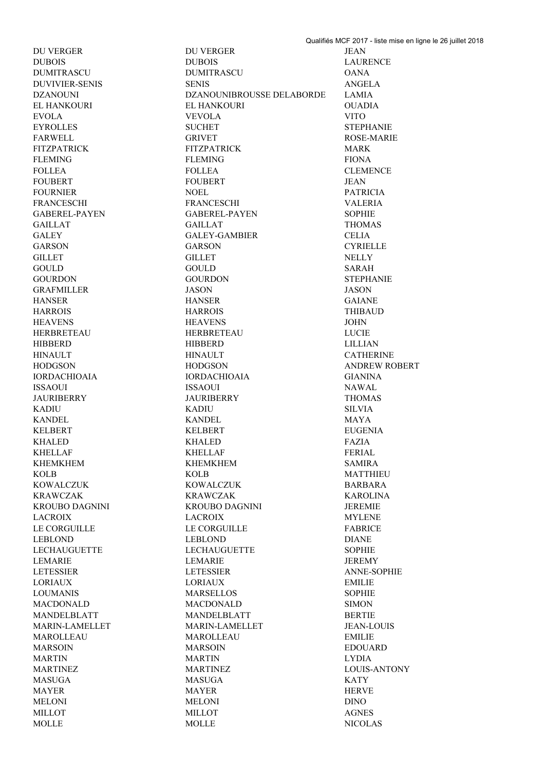DU VERGER DU VERGER JEAN DUBOIS DUBOIS LAURENCE DUMITRASCU DUMITRASCU OANA DUVIVIER-SENIS SENIS ANGELA DZANOUNI DZANOUNIBROUSSE DELABORDE LAMIA EL HANKOURI EL HANKOURI OUADIA EVOLA VEVOLA VITO EYROLLES SUCHET STEPHANIE FARWELL GRIVET GRIVET ROSE-MARIE FITZPATRICK FITZPATRICK MARK FLEMING FIONA FOR THE FORM FIONA FOLLEA FOLLEA CLEMENCE FOUBERT FOUBERT JEAN FOURNIER NOEL PATRICIA FRANCESCHI FRANCESCHI VALERIA GABEREL-PAYEN GABEREL-PAYEN SOPHIE GAILLAT GAILLAT THOMAS GALEY GALEY-GAMBIER CELIA GARSON GARSON CYRIELLE GILLET NELLY NELLY GILLET GOULD GOULD SARAH GOURDON GOURDON STEPHANIE GRAFMILLER JASON JASON HANSER HANSER GAIANE HARROIS HARROIS THIBAUD HEAVENS HEAVENS JOHN HERBRETEAU HERBRETEAU LUCIE HIBBERD HIBBERD LILLIAN HINAULT HINAULT CATHERINE HODGSON HODGSON ANDREW ROBERT IORDACHIOAIA IORDACHIOAIA GIANINA ISSAOUI ISSAOUI NAWAL JAURIBERRY JAURIBERRY THOMAS KADIU KADIU SILVIA KANDEL MAYA KANDEL MAYA KELBERT EUGENIA KELBERT EUGENIA KHALED KHALED FAZIA KHELLAF FERIAL SALE ERIAL SALE ERIAL SALE ERIAL SERIAL SERIAL SERIAL SERIAL SERIAL SERIAL SERIAL SERIAL SERIAL KHEMKHEM SAMIRA KOLB KOLB MATTHIEU KOWALCZUK KOWALCZUK BARBARA KRAWCZAK KRAWCZAK KRAWCZAK KAROLINA KROUBO DAGNINI KROUBO DAGNINI JEREMIE LACROIX LACROIX MYLENE LE CORGUILLE LE CORGUILLE FABRICE LEBLOND LEBLOND DIANE LECHAUGUETTE LECHAUGUETTE SOPHIE LEMARIE LEMARIE JEREMY LETESSIER LETESSIER ANNE-SOPHIE LORIAUX LORIAUX EMILIE LOUMANIS MARSELLOS SOPHIE MACDONALD MACDONALD SIMON MANDELBLATT MANDELBLATT BERTIE MARIN-LAMELLET MARIN-LAMELLET JEAN-LOUIS MAROLLEAU MAROLLEAU EMILIE MARSOIN MARSOIN EDOUARD MARTIN LYDIA NARTIN DIRECTED MARTIN MARTINEZ MARTINEZ LOUIS-ANTONY MASUGA MASUGA KATY MAYER HERVE MAYER HERVE MELONI MELONI DINO MILLOT AGNES MOLLE MOLLE NICOLAS

Qualifiés MCF 2017 - liste mise en ligne le 26 juillet 2018